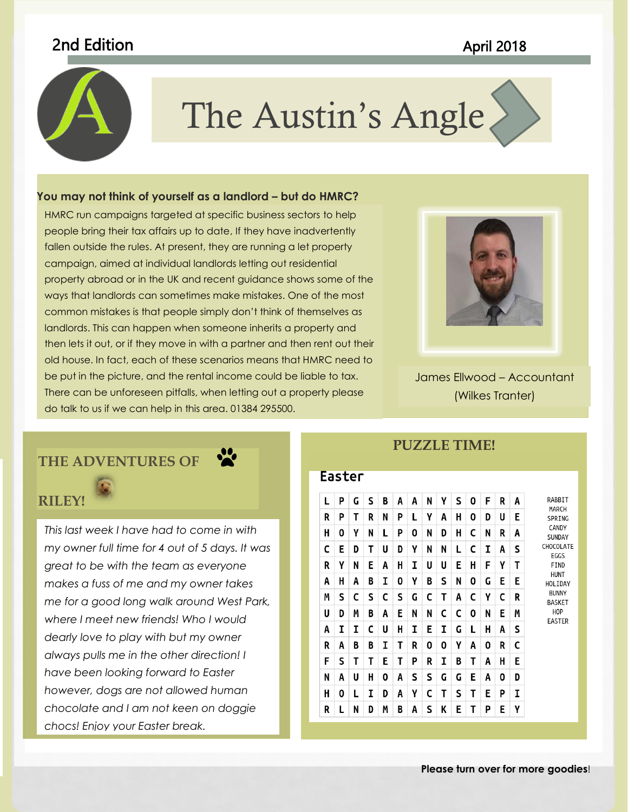# 2nd Edition April 2018



# The Austin's Angle

to coordinate with the overall look of your document. You can use

### these galleries to insert tables, headers, footers, lists, cover pages, **You may not think of yourself as a landlord – but do HMRC?**

property and can be make extended the mistakes. One of the most HMRC run campaigns targeted at specific business sectors to help and the summation of the summation of the summation people bring their tax affairs up to date, If they have inadvertently with the state with the state with  $\sim$ fallen outside the rules. At present, they are running a let property that is a letter of the state in the state is campaign, aimed at individual landlords letting out residential and a second local local local local local local local local local local local local local local local local local local local local local local local local l property abroad or in the UK and recent guidance shows some of the common mistakes is that people simply don't think of themselves as landlords. This can happen when someone inherits a property and then lets it out, or if they move in with a partner and then rent out their old house. In fact, each of these scenarios means that HMRC need to be put in the picture, and the rental income could be liable to tax. There can be unforeseen pitfalls, when letting out a property please do talk to us if we can help in this area. 01384 295500.



James Ellwood – Accountant (Wilkes Tranter)

## **THE ADVENTURES OF**



*This last week I have had to come in with my owner full time for 4 out of 5 days. It was great to be with the team as everyone makes a fuss of me and my owner takes me for a good long walk around West Park, where I meet new friends! Who I would dearly love to play with but my owner always pulls me in the other direction! I have been looking forward to Easter however, dogs are not allowed human chocolate and I am not keen on doggie chocs! Enjoy your Easter break.* 

### **Faster**

**PUZZLE TIME!**